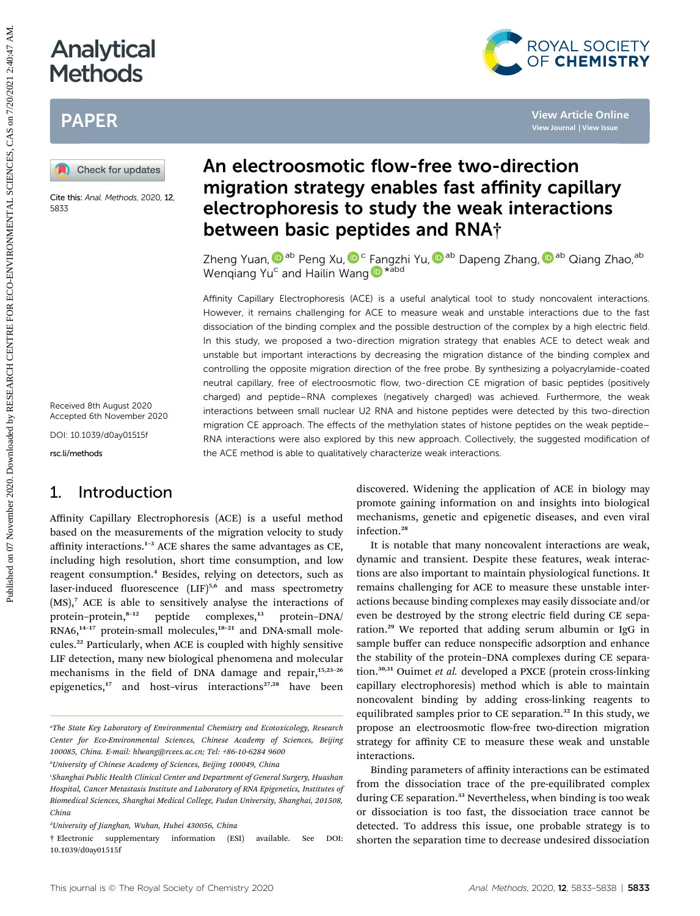# Analytical **Methods**

## PAPER



Cite this: Anal. Methods, 2020, 12, 5833

Received 8th August 2020 Accepted 6th November 2020

DOI: 10.1039/d0ay01515f

rsc.li/methods

## 1. Introduction

Affinity Capillary Electrophoresis (ACE) is a useful method based on the measurements of the migration velocity to study affinity interactions.<sup>1</sup>–<sup>3</sup> ACE shares the same advantages as CE, including high resolution, short time consumption, and low reagent consumption.<sup>4</sup> Besides, relying on detectors, such as laser-induced fluorescence  $(LIF)^{5,6}$  and mass spectrometry  $(MS)$ ,<sup>7</sup> ACE is able to sensitively analyse the interactions of protein-protein,<sup>8-12</sup> peptide complexes,<sup>13</sup> protein-DNA/ RNA6,<sup>14-17</sup> protein-small molecules,<sup>18-21</sup> and DNA-small molecules.<sup>22</sup> Particularly, when ACE is coupled with highly sensitive LIF detection, many new biological phenomena and molecular mechanisms in the field of DNA damage and repair,<sup>15,23-26</sup> epigenetics,<sup>17</sup> and host-virus interactions<sup>27,28</sup> have been

## An electroosmotic flow-free two-direction migration strategy enables fast affinity capillary electrophoresis to study the weak interactions between basic peptides and RNA†

Zheng Yuan[,](http://orcid.org/0000-0003-1676-9116)  $\mathbf{\mathbb{D}}^{\text{ab}}$  Peng Xu,  $\mathbf{\mathbb{D}}^{\text{c}}$  Fangzhi Yu,  $\mathbf{\mathbb{D}}^{\text{ab}}$  Dapeng Zhang,  $\mathbf{\mathbb{D}}^{\text{ab}}$  Qiang Zhao, $^{\text{ab}}$ Wenqiang Yu<sup>c</sup> and Hailin Wang D<sup>\*abd</sup>

Affinity Capillary Electrophoresis (ACE) is a useful analytical tool to study noncovalent interactions. However, it remains challenging for ACE to measure weak and unstable interactions due to the fast dissociation of the binding complex and the possible destruction of the complex by a high electric field. In this study, we proposed a two-direction migration strategy that enables ACE to detect weak and unstable but important interactions by decreasing the migration distance of the binding complex and controlling the opposite migration direction of the free probe. By synthesizing a polyacrylamide-coated neutral capillary, free of electroosmotic flow, two-direction CE migration of basic peptides (positively charged) and peptide–RNA complexes (negatively charged) was achieved. Furthermore, the weak interactions between small nuclear U2 RNA and histone peptides were detected by this two-direction migration CE approach. The effects of the methylation states of histone peptides on the weak peptide– RNA interactions were also explored by this new approach. Collectively, the suggested modification of the ACE method is able to qualitatively characterize weak interactions. **PUBLISHER ON OFFICE AND**<br> **PUBLISHER SCIENCES ARCHIVES AND ACTION CONTROL CONTROL CONTROL CONTROL CONTROL CONTROL CONTROL CONTROL CONTROL CONTROL CONTROL CONTROL CONTROL CONTROL CONTROL CONTROL CONTROL CONTROL CONTROL CON** 

discovered. Widening the application of ACE in biology may promote gaining information on and insights into biological mechanisms, genetic and epigenetic diseases, and even viral infection.<sup>28</sup>

It is notable that many noncovalent interactions are weak, dynamic and transient. Despite these features, weak interactions are also important to maintain physiological functions. It remains challenging for ACE to measure these unstable interactions because binding complexes may easily dissociate and/or even be destroyed by the strong electric field during CE separation.<sup>29</sup> We reported that adding serum albumin or IgG in sample buffer can reduce nonspecific adsorption and enhance the stability of the protein–DNA complexes during CE separation.<sup>30,31</sup> Ouimet et al. developed a PXCE (protein cross-linking capillary electrophoresis) method which is able to maintain noncovalent binding by adding cross-linking reagents to equilibrated samples prior to CE separation.<sup>32</sup> In this study, we propose an electroosmotic flow-free two-direction migration strategy for affinity CE to measure these weak and unstable interactions.

Binding parameters of affinity interactions can be estimated from the dissociation trace of the pre-equilibrated complex during CE separation.<sup>33</sup> Nevertheless, when binding is too weak or dissociation is too fast, the dissociation trace cannot be detected. To address this issue, one probable strategy is to shorten the separation time to decrease undesired dissociation



a The State Key Laboratory of Environmental Chemistry and Ecotoxicology, Research Center for Eco-Environmental Sciences, Chinese Academy of Sciences, Beijing 100085, China. E-mail: hlwang@rcees.ac.cn; Tel: +86-10-6284 9600

b University of Chinese Academy of Sciences, Beijing 100049, China

c Shanghai Public Health Clinical Center and Department of General Surgery, Huashan Hospital, Cancer Metastasis Institute and Laboratory of RNA Epigenetics, Institutes of Biomedical Sciences, Shanghai Medical College, Fudan University, Shanghai, 201508, China

d University of Jianghan, Wuhan, Hubei 430056, China

<sup>†</sup> Electronic supplementary information (ESI) available. See DOI: 10.1039/d0ay01515f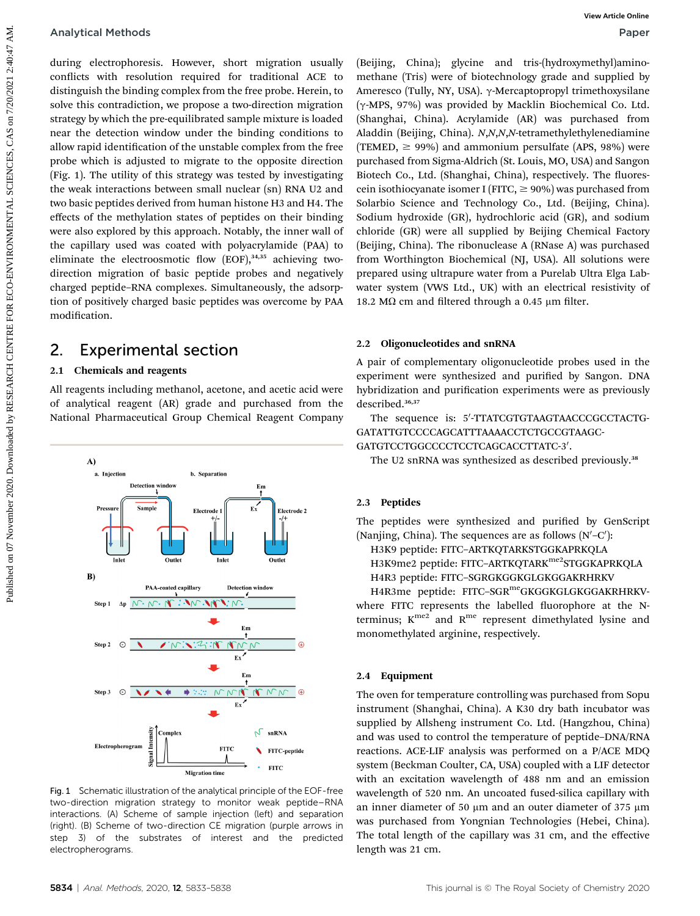during electrophoresis. However, short migration usually conflicts with resolution required for traditional ACE to distinguish the binding complex from the free probe. Herein, to solve this contradiction, we propose a two-direction migration strategy by which the pre-equilibrated sample mixture is loaded near the detection window under the binding conditions to allow rapid identification of the unstable complex from the free probe which is adjusted to migrate to the opposite direction (Fig. 1). The utility of this strategy was tested by investigating the weak interactions between small nuclear (sn) RNA U2 and two basic peptides derived from human histone H3 and H4. The effects of the methylation states of peptides on their binding were also explored by this approach. Notably, the inner wall of the capillary used was coated with polyacrylamide (PAA) to eliminate the electroosmotic flow  $[EOF]$ ,  $34,35$  achieving twodirection migration of basic peptide probes and negatively charged peptide–RNA complexes. Simultaneously, the adsorption of positively charged basic peptides was overcome by PAA modification. Analytical Methods<br>
confers, with reachinoid forespire of the effection angular fieldings cylinders. The effection of the effection and the properties of the properties of the effection of the properties of the properties

### 2. Experimental section

#### 2.1 Chemicals and reagents

All reagents including methanol, acetone, and acetic acid were of analytical reagent (AR) grade and purchased from the National Pharmaceutical Group Chemical Reagent Company



Fig. 1 Schematic illustration of the analytical principle of the EOF-free two-direction migration strategy to monitor weak peptide–RNA interactions. (A) Scheme of sample injection (left) and separation (right). (B) Scheme of two-direction CE migration (purple arrows in step 3) of the substrates of interest and the predicted electropherograms.

(Beijing, China); glycine and tris-(hydroxymethyl)aminomethane (Tris) were of biotechnology grade and supplied by Ameresco (Tully, NY, USA).  $\gamma$ -Mercaptopropyl trimethoxysilane (g-MPS, 97%) was provided by Macklin Biochemical Co. Ltd. (Shanghai, China). Acrylamide (AR) was purchased from Aladdin (Beijing, China). N,N,N,N-tetramethylethylenediamine (TEMED,  $\geq$  99%) and ammonium persulfate (APS, 98%) were purchased from Sigma-Aldrich (St. Louis, MO, USA) and Sangon Biotech Co., Ltd. (Shanghai, China), respectively. The fluorescein isothiocyanate isomer I (FITC,  $\geq$  90%) was purchased from Solarbio Science and Technology Co., Ltd. (Beijing, China). Sodium hydroxide (GR), hydrochloric acid (GR), and sodium chloride (GR) were all supplied by Beijing Chemical Factory (Beijing, China). The ribonuclease A (RNase A) was purchased from Worthington Biochemical (NJ, USA). All solutions were prepared using ultrapure water from a Purelab Ultra Elga Labwater system (VWS Ltd., UK) with an electrical resistivity of 18.2 M $\Omega$  cm and filtered through a 0.45 µm filter.

#### 2.2 Oligonucleotides and snRNA

A pair of complementary oligonucleotide probes used in the experiment were synthesized and purified by Sangon. DNA hybridization and purification experiments were as previously described.36,37

The sequence is: 5'-TTATCGTGTAAGTAACCCGCCTACTG-GATATTGTCCCCAGCATTTAAAACCTCTGCCGTAAGC-GATGTCCTGGCCCCTCCTCAGCACCTTATC-3'.

The U2 snRNA was synthesized as described previously.<sup>38</sup>

#### 2.3 Peptides

The peptides were synthesized and purified by GenScript (Nanjing, China). The sequences are as follows  $(N'-C')$ :

H3K9 peptide: FITC–ARTKQTARKSTGGKAPRKQLA H3K9me2 peptide: FITC-ARTKQTARK<sup>me2</sup>STGGKAPRKQLA

H4R3 peptide: FITC–SGRGKGGKGLGKGGAKRHRKV

H4R3me peptide: FITC-SGR<sup>me</sup>GKGGKGLGKGGAKRHRKVwhere FITC represents the labelled fluorophore at the Nterminus;  $K^{me2}$  and  $R^{me}$  represent dimethylated lysine and monomethylated arginine, respectively.

#### 2.4 Equipment

The oven for temperature controlling was purchased from Sopu instrument (Shanghai, China). A K30 dry bath incubator was supplied by Allsheng instrument Co. Ltd. (Hangzhou, China) and was used to control the temperature of peptide–DNA/RNA reactions. ACE-LIF analysis was performed on a P/ACE MDQ system (Beckman Coulter, CA, USA) coupled with a LIF detector with an excitation wavelength of 488 nm and an emission wavelength of 520 nm. An uncoated fused-silica capillary with an inner diameter of 50  $\mu$ m and an outer diameter of 375  $\mu$ m was purchased from Yongnian Technologies (Hebei, China). The total length of the capillary was 31 cm, and the effective length was 21 cm.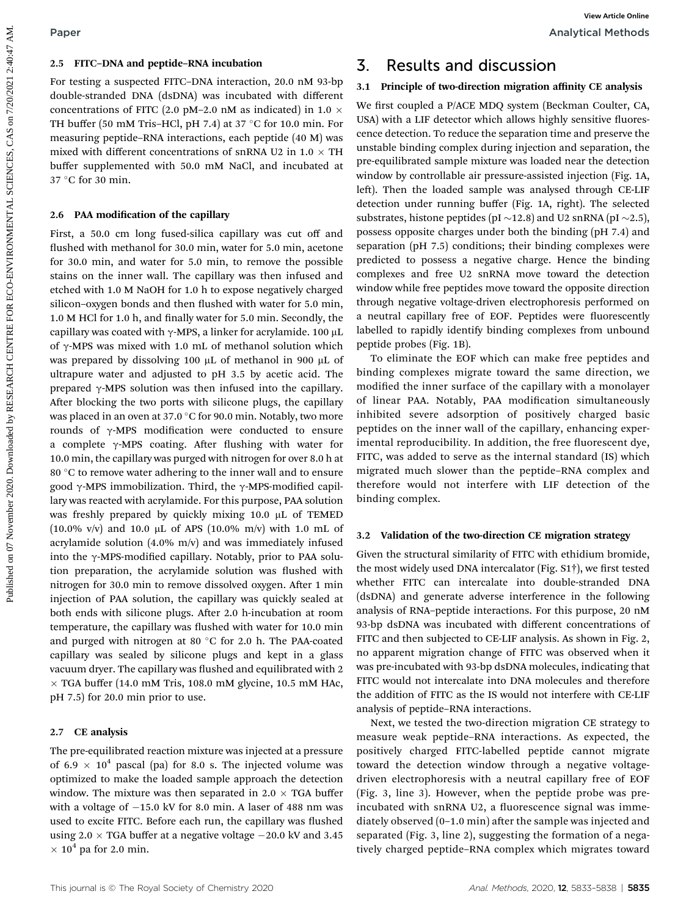For testing a suspected FITC–DNA interaction, 20.0 nM 93-bp double-stranded DNA (dsDNA) was incubated with different concentrations of FITC (2.0 pM–2.0 nM as indicated) in 1.0  $\times$ TH buffer (50 mM Tris–HCl, pH 7.4) at 37  $\degree$ C for 10.0 min. For measuring peptide–RNA interactions, each peptide (40 M) was mixed with different concentrations of snRNA U2 in 1.0  $\times$  TH buffer supplemented with 50.0 mM NaCl, and incubated at 37 °C for 30 min.

#### 2.6 PAA modification of the capillary

First, a 50.0 cm long fused-silica capillary was cut off and flushed with methanol for 30.0 min, water for 5.0 min, acetone for 30.0 min, and water for 5.0 min, to remove the possible stains on the inner wall. The capillary was then infused and etched with 1.0 M NaOH for 1.0 h to expose negatively charged silicon-oxygen bonds and then flushed with water for 5.0 min, 1.0 M HCl for 1.0 h, and finally water for 5.0 min. Secondly, the capillary was coated with  $\gamma$ -MPS, a linker for acrylamide. 100 µL of  $\gamma$ -MPS was mixed with 1.0 mL of methanol solution which was prepared by dissolving 100 µL of methanol in 900 µL of ultrapure water and adjusted to pH 3.5 by acetic acid. The prepared  $\gamma$ -MPS solution was then infused into the capillary. After blocking the two ports with silicone plugs, the capillary was placed in an oven at 37.0  $\degree$ C for 90.0 min. Notably, two more rounds of  $\gamma$ -MPS modification were conducted to ensure a complete  $\gamma$ -MPS coating. After flushing with water for 10.0 min, the capillary was purged with nitrogen for over 8.0 h at 80  $\degree$ C to remove water adhering to the inner wall and to ensure good  $\gamma$ -MPS immobilization. Third, the  $\gamma$ -MPS-modified capillary was reacted with acrylamide. For this purpose, PAA solution was freshly prepared by quickly mixing 10.0 µL of TEMED (10.0% v/v) and 10.0  $\mu$ L of APS (10.0% m/v) with 1.0 mL of acrylamide solution (4.0% m/v) and was immediately infused into the  $\gamma$ -MPS-modified capillary. Notably, prior to PAA solution preparation, the acrylamide solution was flushed with nitrogen for 30.0 min to remove dissolved oxygen. After 1 min injection of PAA solution, the capillary was quickly sealed at both ends with silicone plugs. After 2.0 h-incubation at room temperature, the capillary was flushed with water for 10.0 min and purged with nitrogen at 80  $^{\circ}$ C for 2.0 h. The PAA-coated capillary was sealed by silicone plugs and kept in a glass vacuum dryer. The capillary was flushed and equilibrated with 2  $\times$  TGA buffer (14.0 mM Tris, 108.0 mM glycine, 10.5 mM HAc, pH 7.5) for 20.0 min prior to use. **Public 1021**<br>
25 **Public SCIN CENTRE CONVIRONMENTAL PUBLIC SCIENCES and discussion function and the state of the continue of the continue of the state of the state of the state of the state of the state of the state of th** 

#### 2.7 CE analysis

The pre-equilibrated reaction mixture was injected at a pressure of 6.9  $\times$  10<sup>4</sup> pascal (pa) for 8.0 s. The injected volume was optimized to make the loaded sample approach the detection window. The mixture was then separated in 2.0  $\times$  TGA buffer with a voltage of  $-15.0$  kV for 8.0 min. A laser of 488 nm was used to excite FITC. Before each run, the capillary was flushed using 2.0  $\times$  TGA buffer at a negative voltage  $-20.0$  kV and 3.45  $\times$   $10^4$  pa for 2.0 min.

## 3. Results and discussion

#### 3.1 Principle of two-direction migration affinity CE analysis

We first coupled a P/ACE MDQ system (Beckman Coulter, CA, USA) with a LIF detector which allows highly sensitive fluorescence detection. To reduce the separation time and preserve the unstable binding complex during injection and separation, the pre-equilibrated sample mixture was loaded near the detection window by controllable air pressure-assisted injection (Fig. 1A, left). Then the loaded sample was analysed through CE-LIF detection under running buffer (Fig. 1A, right). The selected substrates, histone peptides (pI  $\sim$ 12.8) and U2 snRNA (pI  $\sim$ 2.5), possess opposite charges under both the binding (pH 7.4) and separation (pH 7.5) conditions; their binding complexes were predicted to possess a negative charge. Hence the binding complexes and free U2 snRNA move toward the detection window while free peptides move toward the opposite direction through negative voltage-driven electrophoresis performed on a neutral capillary free of EOF. Peptides were fluorescently labelled to rapidly identify binding complexes from unbound peptide probes (Fig. 1B).

To eliminate the EOF which can make free peptides and binding complexes migrate toward the same direction, we modified the inner surface of the capillary with a monolayer of linear PAA. Notably, PAA modification simultaneously inhibited severe adsorption of positively charged basic peptides on the inner wall of the capillary, enhancing experimental reproducibility. In addition, the free fluorescent dye, FITC, was added to serve as the internal standard (IS) which migrated much slower than the peptide–RNA complex and therefore would not interfere with LIF detection of the binding complex.

#### 3.2 Validation of the two-direction CE migration strategy

Given the structural similarity of FITC with ethidium bromide, the most widely used DNA intercalator (Fig.  $S1\dagger$ ), we first tested whether FITC can intercalate into double-stranded DNA (dsDNA) and generate adverse interference in the following analysis of RNA–peptide interactions. For this purpose, 20 nM 93-bp dsDNA was incubated with different concentrations of FITC and then subjected to CE-LIF analysis. As shown in Fig. 2, no apparent migration change of FITC was observed when it was pre-incubated with 93-bp dsDNA molecules, indicating that FITC would not intercalate into DNA molecules and therefore the addition of FITC as the IS would not interfere with CE-LIF analysis of peptide–RNA interactions.

Next, we tested the two-direction migration CE strategy to measure weak peptide–RNA interactions. As expected, the positively charged FITC-labelled peptide cannot migrate toward the detection window through a negative voltagedriven electrophoresis with a neutral capillary free of EOF (Fig. 3, line 3). However, when the peptide probe was preincubated with snRNA U2, a fluorescence signal was immediately observed  $(0-1.0 \text{ min})$  after the sample was injected and separated (Fig. 3, line 2), suggesting the formation of a negatively charged peptide–RNA complex which migrates toward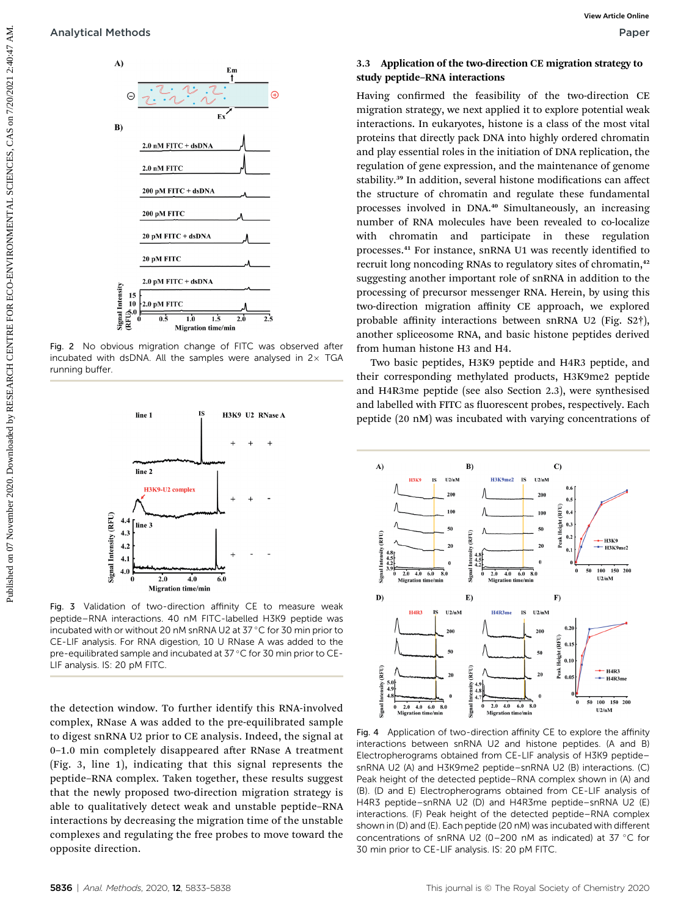



Fig. 2 No obvious migration change of FITC was observed after incubated with dsDNA. All the samples were analysed in  $2\times$  TGA running buffer.



Fig. 3 Validation of two-direction affinity CE to measure weak peptide–RNA interactions. 40 nM FITC-labelled H3K9 peptide was incubated with or without 20 nM snRNA U2 at 37 °C for 30 min prior to CE-LIF analysis. For RNA digestion, 10 U RNase A was added to the pre-equilibrated sample and incubated at 37 °C for 30 min prior to CE-LIF analysis. IS: 20 pM FITC.

the detection window. To further identify this RNA-involved complex, RNase A was added to the pre-equilibrated sample to digest snRNA U2 prior to CE analysis. Indeed, the signal at 0-1.0 min completely disappeared after RNase A treatment (Fig. 3, line 1), indicating that this signal represents the peptide–RNA complex. Taken together, these results suggest that the newly proposed two-direction migration strategy is able to qualitatively detect weak and unstable peptide–RNA interactions by decreasing the migration time of the unstable complexes and regulating the free probes to move toward the opposite direction.

#### 3.3 Application of the two-direction CE migration strategy to study peptide–RNA interactions

Having confirmed the feasibility of the two-direction CE migration strategy, we next applied it to explore potential weak interactions. In eukaryotes, histone is a class of the most vital proteins that directly pack DNA into highly ordered chromatin and play essential roles in the initiation of DNA replication, the regulation of gene expression, and the maintenance of genome stability.<sup>39</sup> In addition, several histone modifications can affect the structure of chromatin and regulate these fundamental processes involved in DNA.<sup>40</sup> Simultaneously, an increasing number of RNA molecules have been revealed to co-localize with chromatin and participate in these regulation processes.<sup>41</sup> For instance, snRNA U1 was recently identified to recruit long noncoding RNAs to regulatory sites of chromatin,<sup>42</sup> suggesting another important role of snRNA in addition to the processing of precursor messenger RNA. Herein, by using this two-direction migration affinity CE approach, we explored probable affinity interactions between snRNA U2 (Fig. S2†), another spliceosome RNA, and basic histone peptides derived from human histone H3 and H4. Analytical Methods<br>  $\frac{1}{2}$  Marine Content of the system of the model work of the condition of the system of the system of the system of the system of the system of the system of the system of the system of the system o

Two basic peptides, H3K9 peptide and H4R3 peptide, and their corresponding methylated products, H3K9me2 peptide and H4R3me peptide (see also Section 2.3), were synthesised and labelled with FITC as fluorescent probes, respectively. Each peptide (20 nM) was incubated with varying concentrations of



Fig. 4 Application of two-direction affinity CE to explore the affinity interactions between snRNA U2 and histone peptides. (A and B) Electropherograms obtained from CE-LIF analysis of H3K9 peptide– snRNA U2 (A) and H3K9me2 peptide–snRNA U2 (B) interactions. (C) Peak height of the detected peptide–RNA complex shown in (A) and (B). (D and E) Electropherograms obtained from CE-LIF analysis of H4R3 peptide–snRNA U2 (D) and H4R3me peptide–snRNA U2 (E) interactions. (F) Peak height of the detected peptide–RNA complex shown in (D) and (E). Each peptide (20 nM) was incubated with different concentrations of snRNA U2 (0-200 nM as indicated) at 37  $^{\circ}$ C for 30 min prior to CE-LIF analysis. IS: 20 pM FITC.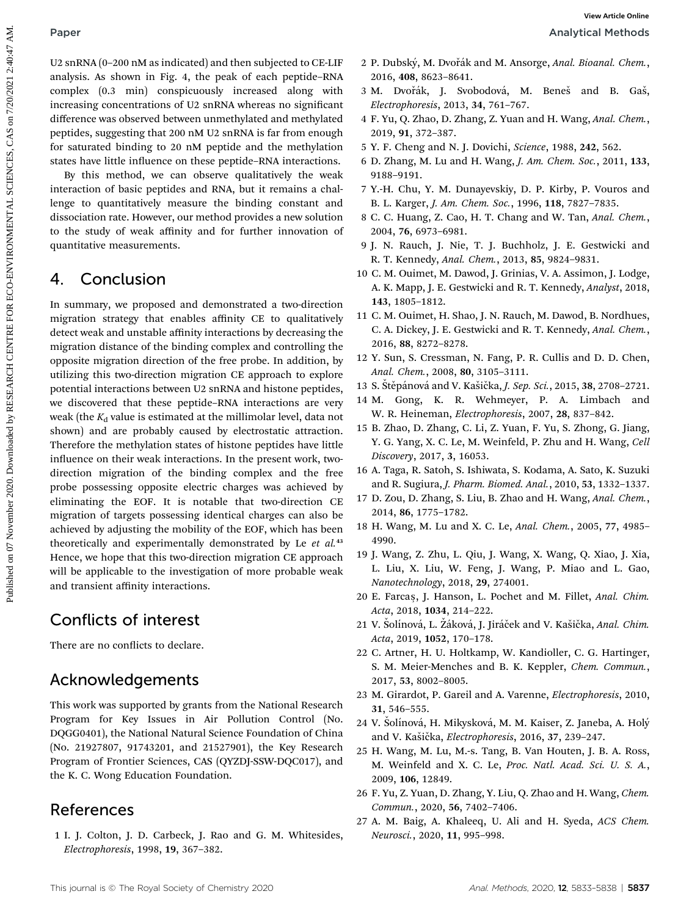U2 snRNA (0–200 nM as indicated) and then subjected to CE-LIF analysis. As shown in Fig. 4, the peak of each peptide–RNA complex (0.3 min) conspicuously increased along with increasing concentrations of U2 snRNA whereas no signicant difference was observed between unmethylated and methylated peptides, suggesting that 200 nM U2 snRNA is far from enough for saturated binding to 20 nM peptide and the methylation states have little influence on these peptide–RNA interactions.

By this method, we can observe qualitatively the weak interaction of basic peptides and RNA, but it remains a challenge to quantitatively measure the binding constant and dissociation rate. However, our method provides a new solution to the study of weak affinity and for further innovation of quantitative measurements.

## 4. Conclusion

In summary, we proposed and demonstrated a two-direction migration strategy that enables affinity CE to qualitatively detect weak and unstable affinity interactions by decreasing the migration distance of the binding complex and controlling the opposite migration direction of the free probe. In addition, by utilizing this two-direction migration CE approach to explore potential interactions between U2 snRNA and histone peptides, we discovered that these peptide–RNA interactions are very weak (the  $K_d$  value is estimated at the millimolar level, data not shown) and are probably caused by electrostatic attraction. Therefore the methylation states of histone peptides have little influence on their weak interactions. In the present work, twodirection migration of the binding complex and the free probe possessing opposite electric charges was achieved by eliminating the EOF. It is notable that two-direction CE migration of targets possessing identical charges can also be achieved by adjusting the mobility of the EOF, which has been theoretically and experimentally demonstrated by Le  $et$   $al$ .<sup>43</sup> Hence, we hope that this two-direction migration CE approach will be applicable to the investigation of more probable weak and transient affinity interactions. Public to the interest on the public state of the interest on 2014, the interest on 2014, the anti-based by RESEARCH CENTRE CO. The interest on 2014 and 2014 and 2014 and 2014 and 2014 and 2014 and 2014 and 2014 and 2014 a

## Conflicts of interest

There are no conflicts to declare.

## Acknowledgements

This work was supported by grants from the National Research Program for Key Issues in Air Pollution Control (No. DQGG0401), the National Natural Science Foundation of China (No. 21927807, 91743201, and 21527901), the Key Research Program of Frontier Sciences, CAS (QYZDJ-SSW-DQC017), and the K. C. Wong Education Foundation.

## References

1 I. J. Colton, J. D. Carbeck, J. Rao and G. M. Whitesides, Electrophoresis, 1998, 19, 367–382.

- 2 P. Dubský, M. Dvořák and M. Ansorge, Anal. Bioanal. Chem., 2016, 408, 8623–8641.
- 3 M. Dvořák, J. Svobodová, M. Beneš and B. Gaš, Electrophoresis, 2013, 34, 761–767.
- 4 F. Yu, Q. Zhao, D. Zhang, Z. Yuan and H. Wang, Anal. Chem., 2019, 91, 372–387.
- 5 Y. F. Cheng and N. J. Dovichi, Science, 1988, 242, 562.
- 6 D. Zhang, M. Lu and H. Wang, J. Am. Chem. Soc., 2011, 133, 9188–9191.
- 7 Y.-H. Chu, Y. M. Dunayevskiy, D. P. Kirby, P. Vouros and B. L. Karger, J. Am. Chem. Soc., 1996, 118, 7827–7835.
- 8 C. C. Huang, Z. Cao, H. T. Chang and W. Tan, Anal. Chem., 2004, 76, 6973–6981.
- 9 J. N. Rauch, J. Nie, T. J. Buchholz, J. E. Gestwicki and R. T. Kennedy, Anal. Chem., 2013, 85, 9824–9831.
- 10 C. M. Ouimet, M. Dawod, J. Grinias, V. A. Assimon, J. Lodge, A. K. Mapp, J. E. Gestwicki and R. T. Kennedy, Analyst, 2018, 143, 1805–1812.
- 11 C. M. Ouimet, H. Shao, J. N. Rauch, M. Dawod, B. Nordhues, C. A. Dickey, J. E. Gestwicki and R. T. Kennedy, Anal. Chem., 2016, 88, 8272–8278.
- 12 Y. Sun, S. Cressman, N. Fang, P. R. Cullis and D. D. Chen, Anal. Chem., 2008, 80, 3105–3111.
- 13 S. Stěpánová and V. Kašička, J. Sep. Sci., 2015, 38, 2708–2721.
- 14 M. Gong, K. R. Wehmeyer, P. A. Limbach and W. R. Heineman, Electrophoresis, 2007, 28, 837–842.
- 15 B. Zhao, D. Zhang, C. Li, Z. Yuan, F. Yu, S. Zhong, G. Jiang, Y. G. Yang, X. C. Le, M. Weinfeld, P. Zhu and H. Wang, Cell Discovery, 2017, 3, 16053.
- 16 A. Taga, R. Satoh, S. Ishiwata, S. Kodama, A. Sato, K. Suzuki and R. Sugiura, J. Pharm. Biomed. Anal., 2010, 53, 1332–1337.
- 17 D. Zou, D. Zhang, S. Liu, B. Zhao and H. Wang, Anal. Chem., 2014, 86, 1775–1782.
- 18 H. Wang, M. Lu and X. C. Le, Anal. Chem., 2005, 77, 4985– 4990.
- 19 J. Wang, Z. Zhu, L. Qiu, J. Wang, X. Wang, Q. Xiao, J. Xia, L. Liu, X. Liu, W. Feng, J. Wang, P. Miao and L. Gao, Nanotechnology, 2018, 29, 274001.
- 20 E. Farcas, J. Hanson, L. Pochet and M. Fillet, Anal. Chim. Acta, 2018, 1034, 214–222.
- 21 V. Šolínová, L. Žáková, J. Jiráček and V. Kašička, Anal. Chim. Acta, 2019, 1052, 170–178.
- 22 C. Artner, H. U. Holtkamp, W. Kandioller, C. G. Hartinger, S. M. Meier-Menches and B. K. Keppler, Chem. Commun., 2017, 53, 8002–8005.
- 23 M. Girardot, P. Gareil and A. Varenne, Electrophoresis, 2010, 31, 546–555.
- 24 V. Solínová, H. Mikysková, M. M. Kaiser, Z. Janeba, A. Holý and V. Kašička, Electrophoresis, 2016, 37, 239-247.
- 25 H. Wang, M. Lu, M.-s. Tang, B. Van Houten, J. B. A. Ross, M. Weinfeld and X. C. Le, Proc. Natl. Acad. Sci. U. S. A., 2009, 106, 12849.
- 26 F. Yu, Z. Yuan, D. Zhang, Y. Liu, Q. Zhao and H. Wang, Chem. Commun., 2020, 56, 7402–7406.
- 27 A. M. Baig, A. Khaleeq, U. Ali and H. Syeda, ACS Chem. Neurosci., 2020, 11, 995–998.